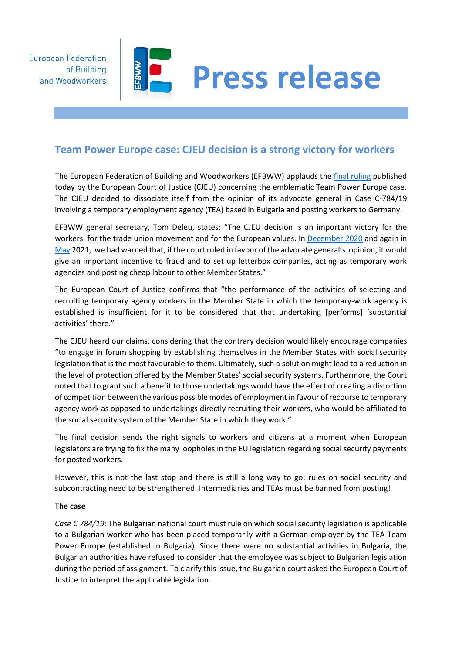**European Federation** of Building and Woodworkers



## **Team Power Europe case: CJEU decision is a strong victory for workers**

The European Federation of Building and Woodworkers (EFBWW) applauds the [final ruling](https://curia.europa.eu/jcms/upload/docs/application/pdf/2021-06/cp210092en.pdf) published today by the European Court of Justice (CJEU) concerning the emblematic Team Power Europe case. The CJEU decided to dissociate itself from the opinion of its advocate general in Case C-784/19 involving a temporary employment agency (TEA) based in Bulgaria and posting workers to Germany.

EFBWW general secretary, Tom Deleu, states: "The CJEU decision is an important victory for the workers, for the trade union movement and for the European values. In [December 2020](https://www.efbww.eu/publications-and-downloads/press-releases/efbww-and-industriall-europe-deeply-concerned-about-opinion-of-c/961-a) and again in [May](https://www.efbww.eu/news/building-a-real-social-safety-net-for-construction-workers-in-th/2177-a) 2021, we had warned that, if the court ruled in favour of the advocate general's opinion, it would give an important incentive to fraud and to set up letterbox companies, acting as temporary work agencies and posting cheap labour to other Member States."

The European Court of Justice confirms that "the performance of the activities of selecting and recruiting temporary agency workers in the Member State in which the temporary-work agency is established is insufficient for it to be considered that that undertaking [performs] 'substantial activities' there."

The CJEU heard our claims, considering that the contrary decision would likely encourage companies "to engage in forum shopping by establishing themselves in the Member States with social security legislation that is the most favourable to them. Ultimately, such a solution might lead to a reduction in the level of protection offered by the Member States' social security systems. Furthermore, the Court noted that to grant such a benefit to those undertakings would have the effect of creating a distortion of competition between the various possible modes of employment in favour of recourse to temporary agency work as opposed to undertakings directly recruiting their workers, who would be affiliated to the social security system of the Member State in which they work."

The final decision sends the right signals to workers and citizens at a moment when European legislators are trying to fix the many loopholes in the EU legislation regarding social security payments for posted workers.

However, this is not the last stop and there is still a long way to go: rules on social security and subcontracting need to be strengthened. Intermediaries and TEAs must be banned from posting!

## **The case**

*Case C 784/19:* The Bulgarian national court must rule on which social security legislation is applicable to a Bulgarian worker who has been placed temporarily with a German employer by the TEA Team Power Europe (established in Bulgaria). Since there were no substantial activities in Bulgaria, the Bulgarian authorities have refused to consider that the employee was subject to Bulgarian legislation during the period of assignment. To clarify this issue, the Bulgarian court asked the European Court of Justice to interpret the applicable legislation.